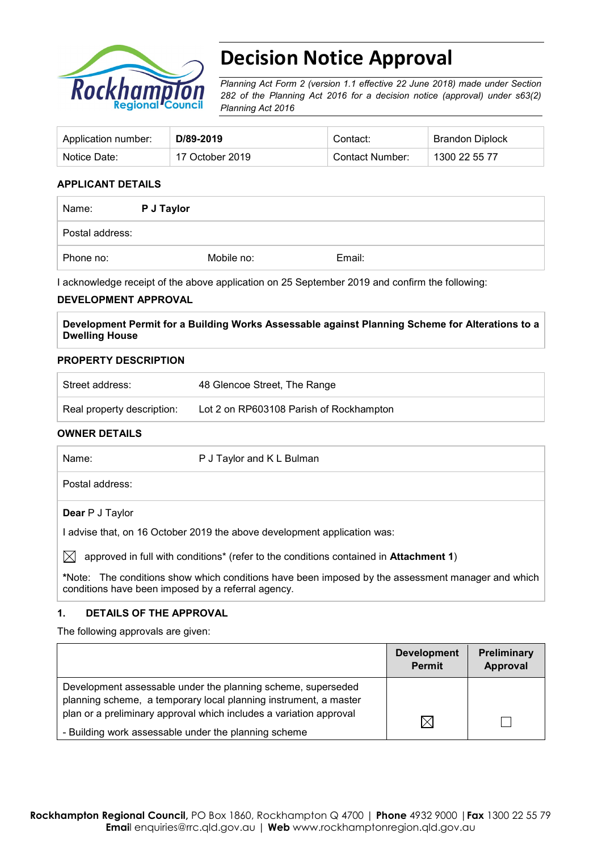

# **Decision Notice Approval**

*Planning Act Form 2 (version 1.1 effective 22 June 2018) made under Section 282 of the Planning Act 2016 for a decision notice (approval) under s63(2) Planning Act 2016*

| Application number: | D/89-2019       | Contact:        | Brandon Diplock |
|---------------------|-----------------|-----------------|-----------------|
| Notice Date:        | 17 October 2019 | Contact Number: | 1300 22 55 77   |

#### **APPLICANT DETAILS**

| Name:           | P J Taylor |        |
|-----------------|------------|--------|
| Postal address: |            |        |
| Phone no:       | Mobile no: | Email: |

I acknowledge receipt of the above application on 25 September 2019 and confirm the following:

#### **DEVELOPMENT APPROVAL**

**Development Permit for a Building Works Assessable against Planning Scheme for Alterations to a Dwelling House**

#### **PROPERTY DESCRIPTION**

| Street address:            | 48 Glencoe Street, The Range            |
|----------------------------|-----------------------------------------|
| Real property description: | Lot 2 on RP603108 Parish of Rockhampton |

#### **OWNER DETAILS**

| Name:     |                        | P J Taylor and K L Bulman                                                                         |
|-----------|------------------------|---------------------------------------------------------------------------------------------------|
|           | Postal address:        |                                                                                                   |
|           | <b>Dear</b> P J Taylor |                                                                                                   |
|           |                        | I advise that, on 16 October 2019 the above development application was:                          |
| $\bowtie$ |                        | approved in full with conditions* (refer to the conditions contained in Attachment 1)             |
|           |                        | *Note: The conditions show which conditions have been imposed by the assessment manager and which |

**\***Note:The conditions show which conditions have been imposed by the assessment manager and which conditions have been imposed by a referral agency.

#### **1. DETAILS OF THE APPROVAL**

The following approvals are given:

|                                                                                                                                  | <b>Development</b><br>Permit | <b>Preliminary</b><br>Approval |
|----------------------------------------------------------------------------------------------------------------------------------|------------------------------|--------------------------------|
| Development assessable under the planning scheme, superseded<br>planning scheme, a temporary local planning instrument, a master |                              |                                |
| plan or a preliminary approval which includes a variation approval<br>- Building work assessable under the planning scheme       | $\boxtimes$                  |                                |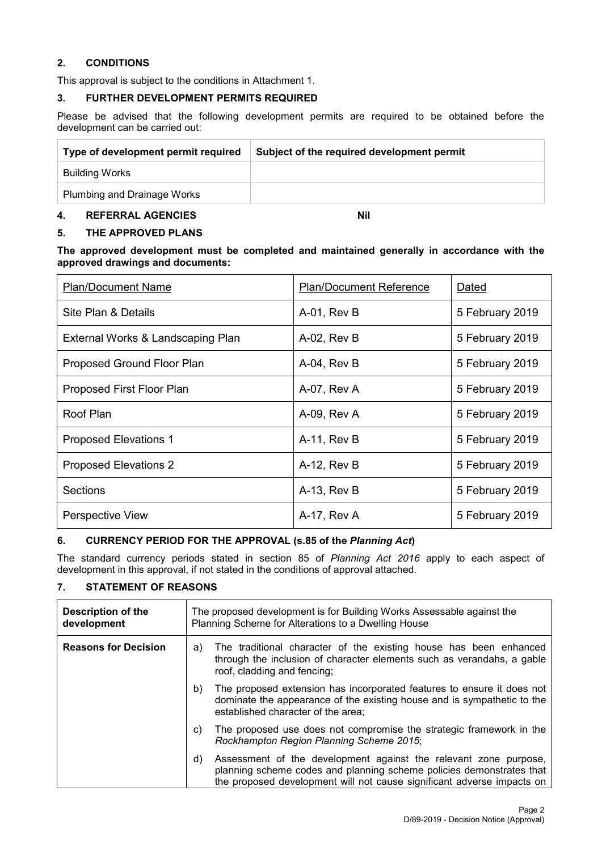#### **2. CONDITIONS**

This approval is subject to the conditions in Attachment 1.

#### **3. FURTHER DEVELOPMENT PERMITS REQUIRED**

Please be advised that the following development permits are required to be obtained before the development can be carried out:

| Type of development permit required | Subject of the required development permit |
|-------------------------------------|--------------------------------------------|
| Building Works                      |                                            |
| <b>Plumbing and Drainage Works</b>  |                                            |

#### **4. REFERRAL AGENCIES Nil**

#### **5. THE APPROVED PLANS**

#### **The approved development must be completed and maintained generally in accordance with the approved drawings and documents:**

| <b>Plan/Document Name</b>         | <b>Plan/Document Reference</b> | Dated           |
|-----------------------------------|--------------------------------|-----------------|
| Site Plan & Details               | A-01, Rev B                    | 5 February 2019 |
| External Works & Landscaping Plan | A-02, Rev B                    | 5 February 2019 |
| Proposed Ground Floor Plan        | A-04, Rev B                    | 5 February 2019 |
| Proposed First Floor Plan         | A-07, Rev A                    | 5 February 2019 |
| Roof Plan                         | A-09, Rev A                    | 5 February 2019 |
| <b>Proposed Elevations 1</b>      | A-11, Rev B                    | 5 February 2019 |
| <b>Proposed Elevations 2</b>      | A-12, Rev B                    | 5 February 2019 |
| <b>Sections</b>                   | A-13, Rev B                    | 5 February 2019 |
| <b>Perspective View</b>           | A-17, Rev A                    | 5 February 2019 |

## **6. CURRENCY PERIOD FOR THE APPROVAL (s.85 of the** *Planning Act***)**

The standard currency periods stated in section 85 of *Planning Act 2016* apply to each aspect of development in this approval, if not stated in the conditions of approval attached.

#### **7. STATEMENT OF REASONS**

| Description of the<br>development | The proposed development is for Building Works Assessable against the<br>Planning Scheme for Alterations to a Dwelling House |                                                                                                                                                                                                                    |
|-----------------------------------|------------------------------------------------------------------------------------------------------------------------------|--------------------------------------------------------------------------------------------------------------------------------------------------------------------------------------------------------------------|
| <b>Reasons for Decision</b>       | a)                                                                                                                           | The traditional character of the existing house has been enhanced<br>through the inclusion of character elements such as verandahs, a gable<br>roof, cladding and fencing;                                         |
|                                   | b)                                                                                                                           | The proposed extension has incorporated features to ensure it does not<br>dominate the appearance of the existing house and is sympathetic to the<br>established character of the area;                            |
|                                   | C)                                                                                                                           | The proposed use does not compromise the strategic framework in the<br>Rockhampton Region Planning Scheme 2015;                                                                                                    |
|                                   | d)                                                                                                                           | Assessment of the development against the relevant zone purpose,<br>planning scheme codes and planning scheme policies demonstrates that<br>the proposed development will not cause significant adverse impacts on |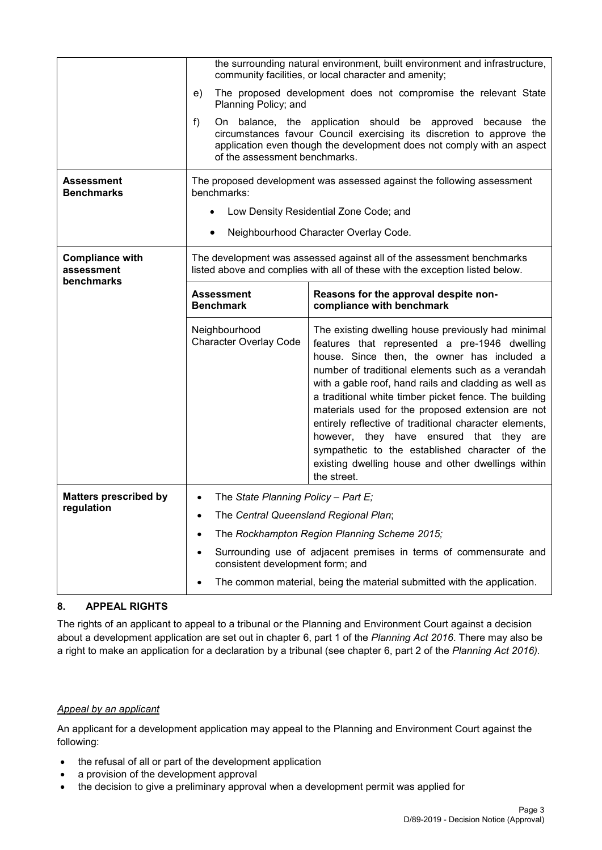|                                                    | the surrounding natural environment, built environment and infrastructure,<br>community facilities, or local character and amenity;                   |                                                                                                                                                                                                                                                                                                                                                                                                                                                                                                                                                                                                              |  |  |
|----------------------------------------------------|-------------------------------------------------------------------------------------------------------------------------------------------------------|--------------------------------------------------------------------------------------------------------------------------------------------------------------------------------------------------------------------------------------------------------------------------------------------------------------------------------------------------------------------------------------------------------------------------------------------------------------------------------------------------------------------------------------------------------------------------------------------------------------|--|--|
|                                                    | The proposed development does not compromise the relevant State<br>e)<br>Planning Policy; and                                                         |                                                                                                                                                                                                                                                                                                                                                                                                                                                                                                                                                                                                              |  |  |
|                                                    | f)                                                                                                                                                    | On balance, the application should be approved because the<br>circumstances favour Council exercising its discretion to approve the<br>application even though the development does not comply with an aspect<br>of the assessment benchmarks.                                                                                                                                                                                                                                                                                                                                                               |  |  |
| Assessment<br><b>Benchmarks</b>                    | benchmarks:                                                                                                                                           | The proposed development was assessed against the following assessment                                                                                                                                                                                                                                                                                                                                                                                                                                                                                                                                       |  |  |
|                                                    | $\bullet$                                                                                                                                             | Low Density Residential Zone Code; and                                                                                                                                                                                                                                                                                                                                                                                                                                                                                                                                                                       |  |  |
|                                                    | $\bullet$                                                                                                                                             | Neighbourhood Character Overlay Code.                                                                                                                                                                                                                                                                                                                                                                                                                                                                                                                                                                        |  |  |
| <b>Compliance with</b><br>assessment<br>benchmarks | The development was assessed against all of the assessment benchmarks<br>listed above and complies with all of these with the exception listed below. |                                                                                                                                                                                                                                                                                                                                                                                                                                                                                                                                                                                                              |  |  |
|                                                    | <b>Assessment</b><br><b>Benchmark</b>                                                                                                                 | Reasons for the approval despite non-<br>compliance with benchmark                                                                                                                                                                                                                                                                                                                                                                                                                                                                                                                                           |  |  |
|                                                    | Neighbourhood<br><b>Character Overlay Code</b>                                                                                                        | The existing dwelling house previously had minimal<br>features that represented a pre-1946 dwelling<br>house. Since then, the owner has included a<br>number of traditional elements such as a verandah<br>with a gable roof, hand rails and cladding as well as<br>a traditional white timber picket fence. The building<br>materials used for the proposed extension are not<br>entirely reflective of traditional character elements,<br>however, they have ensured that they are<br>sympathetic to the established character of the<br>existing dwelling house and other dwellings within<br>the street. |  |  |
| <b>Matters prescribed by</b>                       | The State Planning Policy - Part E;<br>$\bullet$                                                                                                      |                                                                                                                                                                                                                                                                                                                                                                                                                                                                                                                                                                                                              |  |  |
|                                                    | regulation<br>The Central Queensland Regional Plan;<br>$\bullet$                                                                                      |                                                                                                                                                                                                                                                                                                                                                                                                                                                                                                                                                                                                              |  |  |
|                                                    | $\bullet$                                                                                                                                             | The Rockhampton Region Planning Scheme 2015;                                                                                                                                                                                                                                                                                                                                                                                                                                                                                                                                                                 |  |  |
|                                                    | $\bullet$<br>consistent development form; and                                                                                                         | Surrounding use of adjacent premises in terms of commensurate and                                                                                                                                                                                                                                                                                                                                                                                                                                                                                                                                            |  |  |
|                                                    | The common material, being the material submitted with the application.<br>$\bullet$                                                                  |                                                                                                                                                                                                                                                                                                                                                                                                                                                                                                                                                                                                              |  |  |

## **8. APPEAL RIGHTS**

The rights of an applicant to appeal to a tribunal or the Planning and Environment Court against a decision about a development application are set out in chapter 6, part 1 of the *Planning Act 2016*. There may also be a right to make an application for a declaration by a tribunal (see chapter 6, part 2 of the *Planning Act 2016).*

#### *Appeal by an applicant*

An applicant for a development application may appeal to the Planning and Environment Court against the following:

- the refusal of all or part of the development application
- a provision of the development approval
- the decision to give a preliminary approval when a development permit was applied for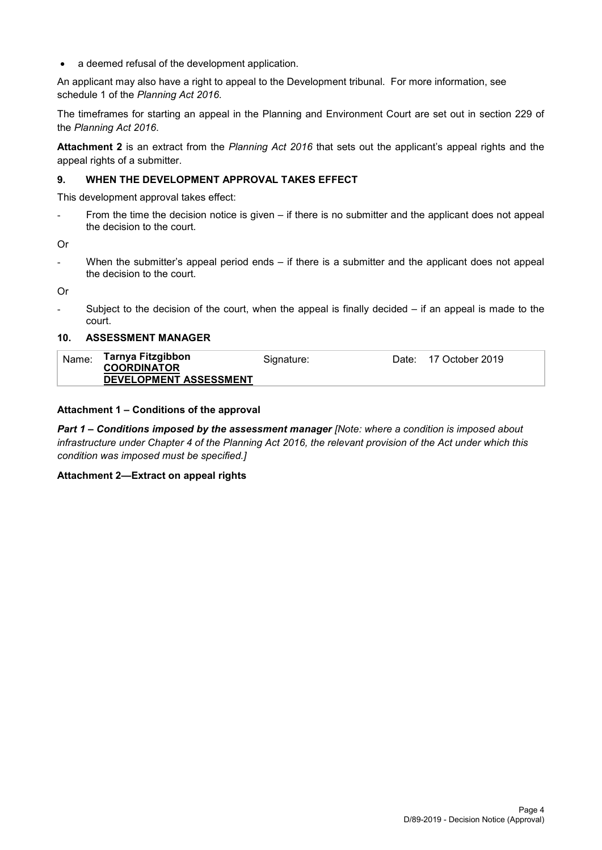• a deemed refusal of the development application.

An applicant may also have a right to appeal to the Development tribunal. For more information, see schedule 1 of the *Planning Act 2016*.

The timeframes for starting an appeal in the Planning and Environment Court are set out in section 229 of the *Planning Act 2016*.

**Attachment 2** is an extract from the *Planning Act 2016* that sets out the applicant's appeal rights and the appeal rights of a submitter.

#### **9. WHEN THE DEVELOPMENT APPROVAL TAKES EFFECT**

This development approval takes effect:

From the time the decision notice is given – if there is no submitter and the applicant does not appeal the decision to the court.

Or

- When the submitter's appeal period ends – if there is a submitter and the applicant does not appeal the decision to the court.

Or

Subject to the decision of the court, when the appeal is finally decided  $-$  if an appeal is made to the court.

#### **10. ASSESSMENT MANAGER**

| Tarnya Fitzgibbon<br>Name:<br>Date: 17 October 2019<br>Siɑnature:<br><b>COORDINATOR</b><br>DEVELOPMENT ASSESSMENT |  |
|-------------------------------------------------------------------------------------------------------------------|--|
|-------------------------------------------------------------------------------------------------------------------|--|

#### **Attachment 1 – Conditions of the approval**

*Part 1* **–** *Conditions imposed by the assessment manager [Note: where a condition is imposed about infrastructure under Chapter 4 of the Planning Act 2016, the relevant provision of the Act under which this condition was imposed must be specified.]*

#### **Attachment 2—Extract on appeal rights**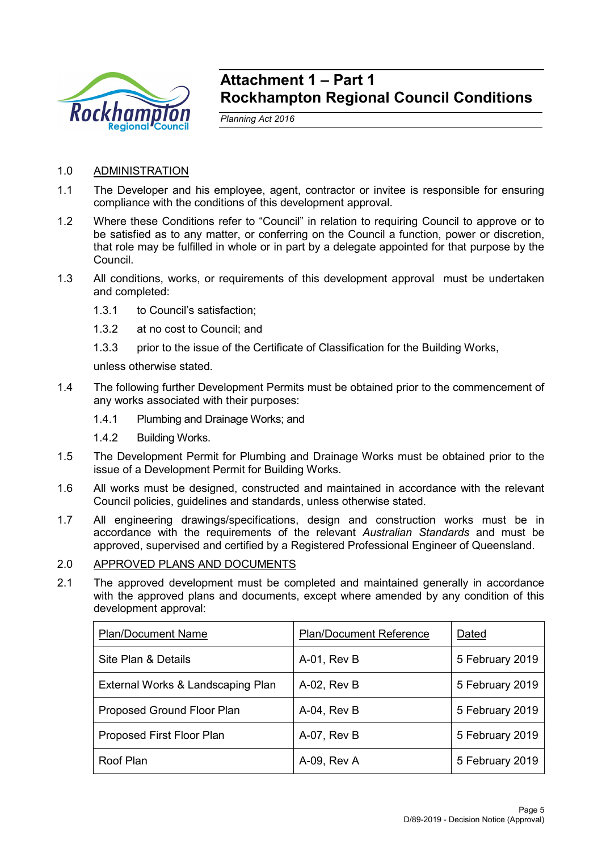

## **Attachment 1 – Part 1 Rockhampton Regional Council Conditions**

*Planning Act 2016*

- 1.0 ADMINISTRATION
- 1.1 The Developer and his employee, agent, contractor or invitee is responsible for ensuring compliance with the conditions of this development approval.
- 1.2 Where these Conditions refer to "Council" in relation to requiring Council to approve or to be satisfied as to any matter, or conferring on the Council a function, power or discretion, that role may be fulfilled in whole or in part by a delegate appointed for that purpose by the Council.
- 1.3 All conditions, works, or requirements of this development approval must be undertaken and completed:
	- 1.3.1 to Council's satisfaction;
	- 1.3.2 at no cost to Council; and
	- 1.3.3 prior to the issue of the Certificate of Classification for the Building Works,

unless otherwise stated.

- 1.4 The following further Development Permits must be obtained prior to the commencement of any works associated with their purposes:
	- 1.4.1 Plumbing and Drainage Works; and
	- 1.4.2 Building Works.
- 1.5 The Development Permit for Plumbing and Drainage Works must be obtained prior to the issue of a Development Permit for Building Works.
- 1.6 All works must be designed, constructed and maintained in accordance with the relevant Council policies, guidelines and standards, unless otherwise stated.
- 1.7 All engineering drawings/specifications, design and construction works must be in accordance with the requirements of the relevant *Australian Standards* and must be approved, supervised and certified by a Registered Professional Engineer of Queensland.

#### 2.0 APPROVED PLANS AND DOCUMENTS

2.1 The approved development must be completed and maintained generally in accordance with the approved plans and documents, except where amended by any condition of this development approval:

| <b>Plan/Document Name</b>         | <b>Plan/Document Reference</b> | Dated           |
|-----------------------------------|--------------------------------|-----------------|
| Site Plan & Details               | A-01, Rev B                    | 5 February 2019 |
| External Works & Landscaping Plan | A-02, Rev B                    | 5 February 2019 |
| Proposed Ground Floor Plan        | A-04, Rev B                    | 5 February 2019 |
| Proposed First Floor Plan         | A-07, Rev B                    | 5 February 2019 |
| Roof Plan                         | A-09, Rev A                    | 5 February 2019 |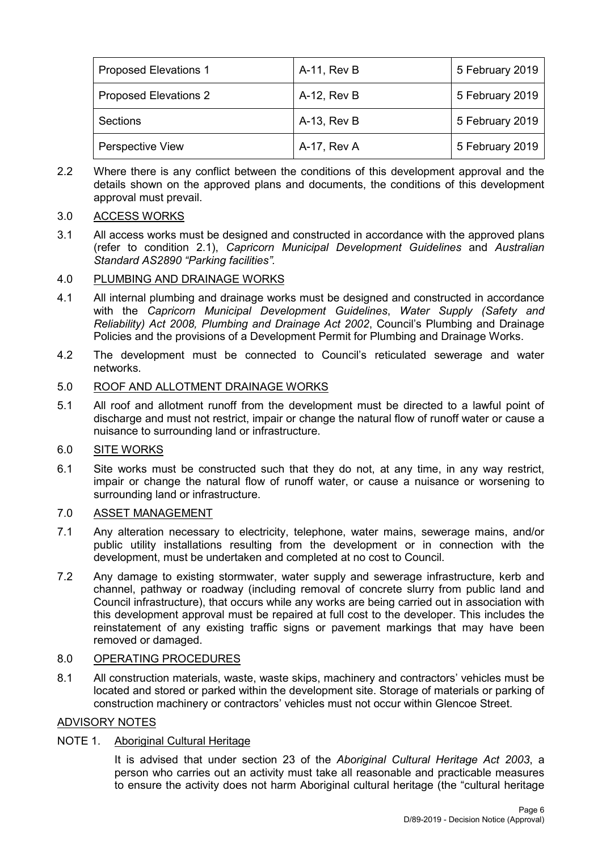| <b>Proposed Elevations 1</b> | A-11, Rev B | 5 February 2019 |
|------------------------------|-------------|-----------------|
| <b>Proposed Elevations 2</b> | A-12, Rev B | 5 February 2019 |
| Sections                     | A-13, Rev B | 5 February 2019 |
| <b>Perspective View</b>      | A-17, Rev A | 5 February 2019 |

2.2 Where there is any conflict between the conditions of this development approval and the details shown on the approved plans and documents, the conditions of this development approval must prevail.

## 3.0 ACCESS WORKS

3.1 All access works must be designed and constructed in accordance with the approved plans (refer to condition 2.1), *Capricorn Municipal Development Guidelines* and *Australian Standard AS2890 "Parking facilities".*

## 4.0 PLUMBING AND DRAINAGE WORKS

- 4.1 All internal plumbing and drainage works must be designed and constructed in accordance with the *Capricorn Municipal Development Guidelines*, *Water Supply (Safety and Reliability) Act 2008, Plumbing and Drainage Act 2002*, Council's Plumbing and Drainage Policies and the provisions of a Development Permit for Plumbing and Drainage Works.
- 4.2 The development must be connected to Council's reticulated sewerage and water networks.

## 5.0 ROOF AND ALLOTMENT DRAINAGE WORKS

5.1 All roof and allotment runoff from the development must be directed to a lawful point of discharge and must not restrict, impair or change the natural flow of runoff water or cause a nuisance to surrounding land or infrastructure.

## 6.0 SITE WORKS

6.1 Site works must be constructed such that they do not, at any time, in any way restrict, impair or change the natural flow of runoff water, or cause a nuisance or worsening to surrounding land or infrastructure.

## 7.0 ASSET MANAGEMENT

- 7.1 Any alteration necessary to electricity, telephone, water mains, sewerage mains, and/or public utility installations resulting from the development or in connection with the development, must be undertaken and completed at no cost to Council.
- 7.2 Any damage to existing stormwater, water supply and sewerage infrastructure, kerb and channel, pathway or roadway (including removal of concrete slurry from public land and Council infrastructure), that occurs while any works are being carried out in association with this development approval must be repaired at full cost to the developer. This includes the reinstatement of any existing traffic signs or pavement markings that may have been removed or damaged.

## 8.0 OPERATING PROCEDURES

8.1 All construction materials, waste, waste skips, machinery and contractors' vehicles must be located and stored or parked within the development site. Storage of materials or parking of construction machinery or contractors' vehicles must not occur within Glencoe Street.

## ADVISORY NOTES

## NOTE 1. Aboriginal Cultural Heritage

It is advised that under section 23 of the *Aboriginal Cultural Heritage Act 2003*, a person who carries out an activity must take all reasonable and practicable measures to ensure the activity does not harm Aboriginal cultural heritage (the "cultural heritage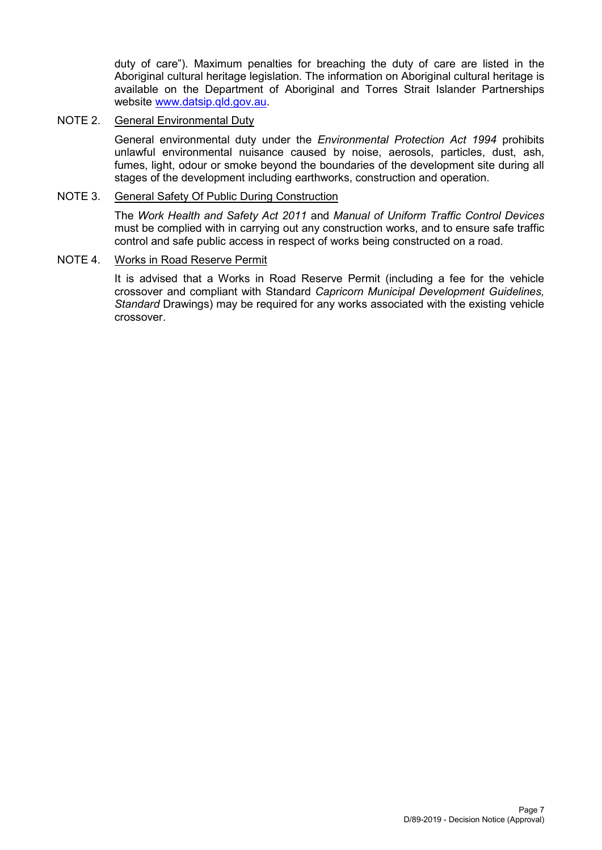duty of care"). Maximum penalties for breaching the duty of care are listed in the Aboriginal cultural heritage legislation. The information on Aboriginal cultural heritage is available on the Department of Aboriginal and Torres Strait Islander Partnerships website [www.datsip.qld.gov.au.](http://www.datsip.qld.gov.au/)

## NOTE 2. General Environmental Duty

General environmental duty under the *Environmental Protection Act 1994* prohibits unlawful environmental nuisance caused by noise, aerosols, particles, dust, ash, fumes, light, odour or smoke beyond the boundaries of the development site during all stages of the development including earthworks, construction and operation.

## NOTE 3. General Safety Of Public During Construction

The *Work Health and Safety Act 2011* and *Manual of Uniform Traffic Control Devices* must be complied with in carrying out any construction works, and to ensure safe traffic control and safe public access in respect of works being constructed on a road.

## NOTE 4. Works in Road Reserve Permit

It is advised that a Works in Road Reserve Permit (including a fee for the vehicle crossover and compliant with Standard *Capricorn Municipal Development Guidelines, Standard* Drawings) may be required for any works associated with the existing vehicle crossover.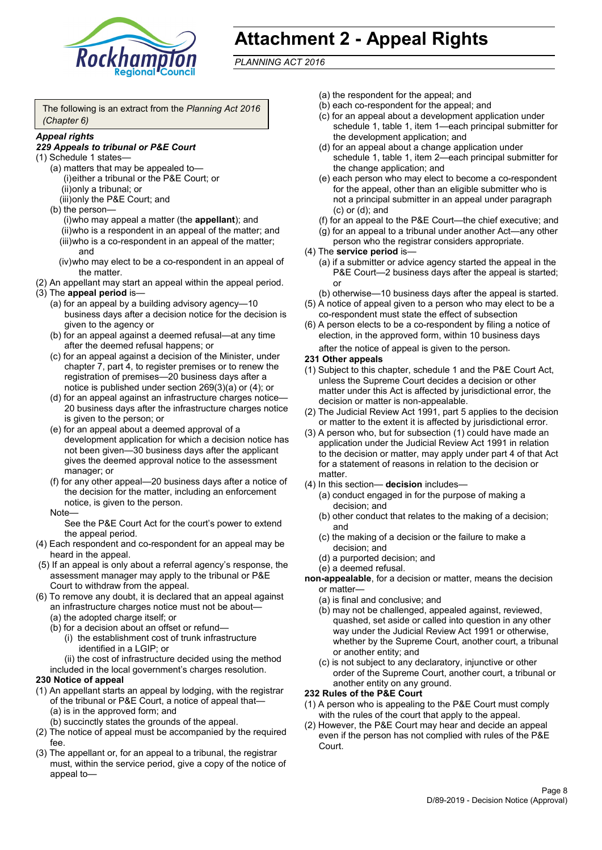

# **Attachment 2 - Appeal Rights**

*PLANNING ACT 2016*

The following is an extract from the *Planning Act 2016 (Chapter 6)*

#### *Appeal rights*

#### *229 Appeals to tribunal or P&E Court*

- (1) Schedule 1 states—
	- (a) matters that may be appealed to— (i)either a tribunal or the P&E Court; or (ii)only a tribunal; or (iii)only the P&E Court; and
	- (b) the person—

(i)who may appeal a matter (the **appellant**); and (ii)who is a respondent in an appeal of the matter; and (iii)who is a co-respondent in an appeal of the matter; and

- (iv)who may elect to be a co-respondent in an appeal of the matter.
- (2) An appellant may start an appeal within the appeal period.
- (3) The **appeal period** is—
	- (a) for an appeal by a building advisory agency—10 business days after a decision notice for the decision is given to the agency or
	- (b) for an appeal against a deemed refusal—at any time after the deemed refusal happens; or
	- (c) for an appeal against a decision of the Minister, under chapter 7, part 4, to register premises or to renew the registration of premises—20 business days after a notice is published under section 269(3)(a) or (4); or
	- (d) for an appeal against an infrastructure charges notice— 20 business days after the infrastructure charges notice is given to the person; or
	- (e) for an appeal about a deemed approval of a development application for which a decision notice has not been given—30 business days after the applicant gives the deemed approval notice to the assessment manager; or
	- (f) for any other appeal—20 business days after a notice of the decision for the matter, including an enforcement notice, is given to the person.

#### Note—

See the P&E Court Act for the court's power to extend the appeal period.

- (4) Each respondent and co-respondent for an appeal may be heard in the appeal.
- (5) If an appeal is only about a referral agency's response, the assessment manager may apply to the tribunal or P&E Court to withdraw from the appeal.
- (6) To remove any doubt, it is declared that an appeal against an infrastructure charges notice must not be about—
	- (a) the adopted charge itself; or
	- (b) for a decision about an offset or refund—
		- (i) the establishment cost of trunk infrastructure identified in a LGIP; or

(ii) the cost of infrastructure decided using the method

included in the local government's charges resolution.

#### **230 Notice of appeal**

- (1) An appellant starts an appeal by lodging, with the registrar of the tribunal or P&E Court, a notice of appeal that—
	- (a) is in the approved form; and
	- (b) succinctly states the grounds of the appeal.
- (2) The notice of appeal must be accompanied by the required fee.
- (3) The appellant or, for an appeal to a tribunal, the registrar must, within the service period, give a copy of the notice of appeal to—
- (a) the respondent for the appeal; and
- (b) each co-respondent for the appeal; and
- (c) for an appeal about a development application under schedule 1, table 1, item 1—each principal submitter for the development application; and
- (d) for an appeal about a change application under schedule 1, table 1, item 2—each principal submitter for the change application; and
- (e) each person who may elect to become a co-respondent for the appeal, other than an eligible submitter who is not a principal submitter in an appeal under paragraph (c) or (d); and
- (f) for an appeal to the P&E Court—the chief executive; and
- (g) for an appeal to a tribunal under another Act—any other person who the registrar considers appropriate.
- (4) The **service period** is—
	- (a) if a submitter or advice agency started the appeal in the P&E Court—2 business days after the appeal is started; or
	- (b) otherwise—10 business days after the appeal is started.
- (5) A notice of appeal given to a person who may elect to be a co-respondent must state the effect of subsection
- (6) A person elects to be a co-respondent by filing a notice of election, in the approved form, within 10 business days after the notice of appeal is given to the person*.*
- **231 Other appeals**
- (1) Subject to this chapter, schedule 1 and the P&E Court Act, unless the Supreme Court decides a decision or other matter under this Act is affected by jurisdictional error, the decision or matter is non-appealable.
- (2) The Judicial Review Act 1991, part 5 applies to the decision or matter to the extent it is affected by jurisdictional error.
- (3) A person who, but for subsection (1) could have made an application under the Judicial Review Act 1991 in relation to the decision or matter, may apply under part 4 of that Act for a statement of reasons in relation to the decision or matter.
- (4) In this section— **decision** includes—
	- (a) conduct engaged in for the purpose of making a decision; and
	- (b) other conduct that relates to the making of a decision; and
	- (c) the making of a decision or the failure to make a decision; and
	- (d) a purported decision; and
	- (e) a deemed refusal.

**non-appealable**, for a decision or matter, means the decision or matter—

- (a) is final and conclusive; and
- (b) may not be challenged, appealed against, reviewed, quashed, set aside or called into question in any other way under the Judicial Review Act 1991 or otherwise, whether by the Supreme Court, another court, a tribunal or another entity; and
- (c) is not subject to any declaratory, injunctive or other order of the Supreme Court, another court, a tribunal or another entity on any ground.

#### **232 Rules of the P&E Court**

- (1) A person who is appealing to the P&E Court must comply with the rules of the court that apply to the appeal.
- (2) However, the P&E Court may hear and decide an appeal even if the person has not complied with rules of the P&E Court.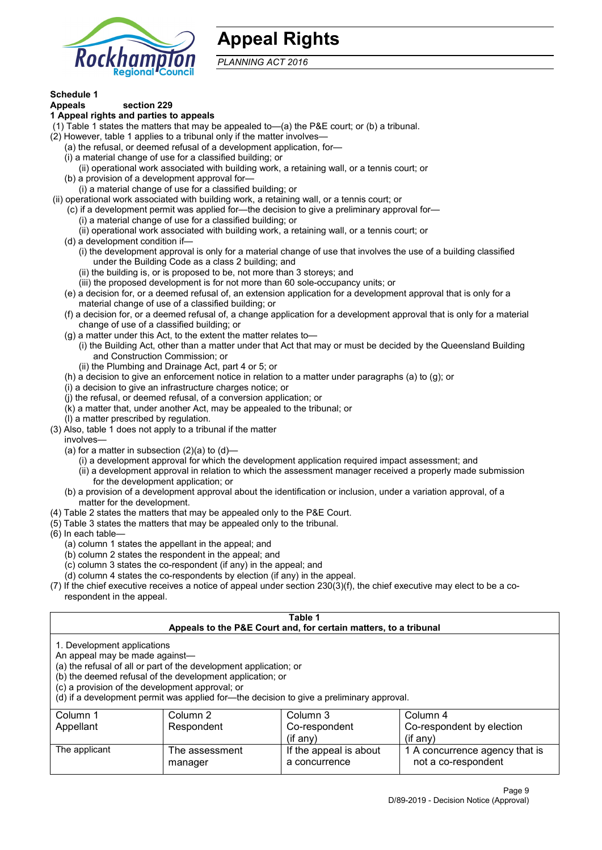

## **Appeal Rights**

*PLANNING ACT 2016*

## **Schedule 1**

#### **Appeals section 229 1 Appeal rights and parties to appeals**

- (1) Table 1 states the matters that may be appealed to—(a) the P&E court; or (b) a tribunal.
- (2) However, table 1 applies to a tribunal only if the matter involves—
	- (a) the refusal, or deemed refusal of a development application, for—
	- (i) a material change of use for a classified building; or
	- (ii) operational work associated with building work, a retaining wall, or a tennis court; or
	- (b) a provision of a development approval for—
	- (i) a material change of use for a classified building; or
- (ii) operational work associated with building work, a retaining wall, or a tennis court; or
	- (c) if a development permit was applied for—the decision to give a preliminary approval for—
		- (i) a material change of use for a classified building; or
		- (ii) operational work associated with building work, a retaining wall, or a tennis court; or
	- (d) a development condition if—
		- (i) the development approval is only for a material change of use that involves the use of a building classified under the Building Code as a class 2 building; and
		- (ii) the building is, or is proposed to be, not more than 3 storeys; and
		- (iii) the proposed development is for not more than 60 sole-occupancy units; or
	- (e) a decision for, or a deemed refusal of, an extension application for a development approval that is only for a material change of use of a classified building; or
	- (f) a decision for, or a deemed refusal of, a change application for a development approval that is only for a material change of use of a classified building; or
	- (g) a matter under this Act, to the extent the matter relates to—
		- (i) the Building Act, other than a matter under that Act that may or must be decided by the Queensland Building and Construction Commission; or
		- (ii) the Plumbing and Drainage Act, part 4 or 5; or
	- (h) a decision to give an enforcement notice in relation to a matter under paragraphs (a) to (g); or
	- (i) a decision to give an infrastructure charges notice; or
	- (j) the refusal, or deemed refusal, of a conversion application; or
	- (k) a matter that, under another Act, may be appealed to the tribunal; or
	- (l) a matter prescribed by regulation.
- (3) Also, table 1 does not apply to a tribunal if the matter

involves—

- (a) for a matter in subsection  $(2)(a)$  to  $(d)$ 
	- (i) a development approval for which the development application required impact assessment; and
	- (ii) a development approval in relation to which the assessment manager received a properly made submission for the development application; or
- (b) a provision of a development approval about the identification or inclusion, under a variation approval, of a matter for the development.
- (4) Table 2 states the matters that may be appealed only to the P&E Court.
- (5) Table 3 states the matters that may be appealed only to the tribunal.
- (6) In each table—
	- (a) column 1 states the appellant in the appeal; and
	- (b) column 2 states the respondent in the appeal; and
	- (c) column 3 states the co-respondent (if any) in the appeal; and
	- (d) column 4 states the co-respondents by election (if any) in the appeal.
- (7) If the chief executive receives a notice of appeal under section 230(3)(f), the chief executive may elect to be a corespondent in the appeal.

| Table 1<br>Appeals to the P&E Court and, for certain matters, to a tribunal                                                                                                                                                                                                                                                                    |                           |                                         |                                                       |  |
|------------------------------------------------------------------------------------------------------------------------------------------------------------------------------------------------------------------------------------------------------------------------------------------------------------------------------------------------|---------------------------|-----------------------------------------|-------------------------------------------------------|--|
| 1. Development applications<br>An appeal may be made against-<br>(a) the refusal of all or part of the development application; or<br>(b) the deemed refusal of the development application; or<br>(c) a provision of the development approval; or<br>(d) if a development permit was applied for—the decision to give a preliminary approval. |                           |                                         |                                                       |  |
| Column 1<br>Column 2<br>Column 3<br>Column 4<br>Co-respondent by election<br>Respondent<br>Co-respondent<br>Appellant<br>$($ if any $)$<br>$(i$ f anv $)$                                                                                                                                                                                      |                           |                                         |                                                       |  |
| The applicant                                                                                                                                                                                                                                                                                                                                  | The assessment<br>manager | If the appeal is about<br>a concurrence | 1 A concurrence agency that is<br>not a co-respondent |  |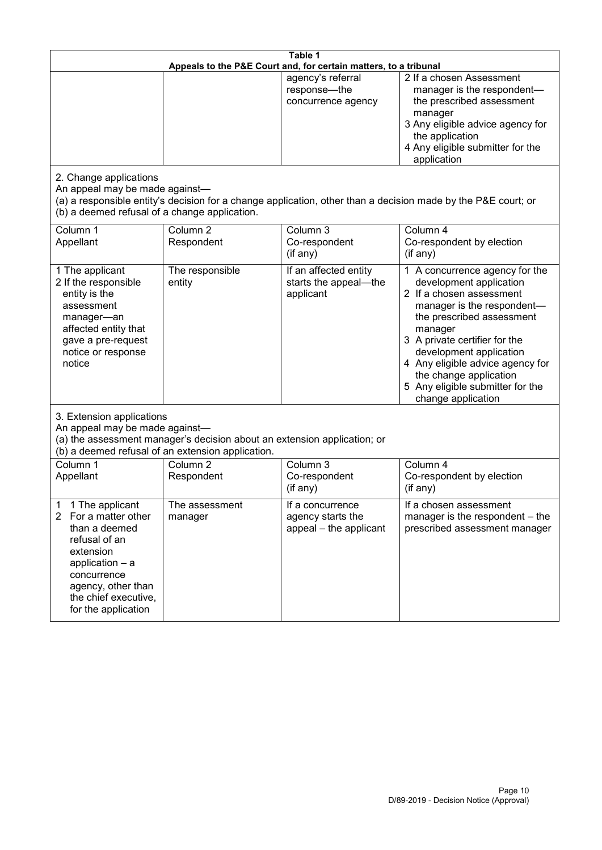| Table 1<br>Appeals to the P&E Court and, for certain matters, to a tribunal                                                                                                                           |                                   |                                                                 |                                                                                                                                                                                                                                                                                                                                                 |  |
|-------------------------------------------------------------------------------------------------------------------------------------------------------------------------------------------------------|-----------------------------------|-----------------------------------------------------------------|-------------------------------------------------------------------------------------------------------------------------------------------------------------------------------------------------------------------------------------------------------------------------------------------------------------------------------------------------|--|
|                                                                                                                                                                                                       |                                   | agency's referral<br>response-the<br>concurrence agency         | 2 If a chosen Assessment<br>manager is the respondent-<br>the prescribed assessment<br>manager<br>3 Any eligible advice agency for<br>the application<br>4 Any eligible submitter for the<br>application                                                                                                                                        |  |
| 2. Change applications<br>An appeal may be made against-<br>(b) a deemed refusal of a change application.                                                                                             |                                   |                                                                 | (a) a responsible entity's decision for a change application, other than a decision made by the P&E court; or                                                                                                                                                                                                                                   |  |
| Column 1<br>Appellant                                                                                                                                                                                 | Column <sub>2</sub><br>Respondent | Column 3<br>Co-respondent<br>(if any)                           | Column 4<br>Co-respondent by election<br>(if any)                                                                                                                                                                                                                                                                                               |  |
| 1 The applicant<br>2 If the responsible<br>entity is the<br>assessment<br>manager-an<br>affected entity that<br>gave a pre-request<br>notice or response<br>notice                                    | The responsible<br>entity         | If an affected entity<br>starts the appeal-the<br>applicant     | 1 A concurrence agency for the<br>development application<br>2 If a chosen assessment<br>manager is the respondent-<br>the prescribed assessment<br>manager<br>3 A private certifier for the<br>development application<br>4 Any eligible advice agency for<br>the change application<br>5 Any eligible submitter for the<br>change application |  |
| 3. Extension applications<br>An appeal may be made against-<br>(a) the assessment manager's decision about an extension application; or<br>(b) a deemed refusal of an extension application.          |                                   |                                                                 |                                                                                                                                                                                                                                                                                                                                                 |  |
| Column 1<br>Appellant                                                                                                                                                                                 | Column <sub>2</sub><br>Respondent | Column 3<br>Co-respondent<br>(if any)                           | Column 4<br>Co-respondent by election<br>(if any)                                                                                                                                                                                                                                                                                               |  |
| 1 The applicant<br>1<br>2<br>For a matter other<br>than a deemed<br>refusal of an<br>extension<br>application - a<br>concurrence<br>agency, other than<br>the chief executive,<br>for the application | The assessment<br>manager         | If a concurrence<br>agency starts the<br>appeal - the applicant | If a chosen assessment<br>manager is the respondent - the<br>prescribed assessment manager                                                                                                                                                                                                                                                      |  |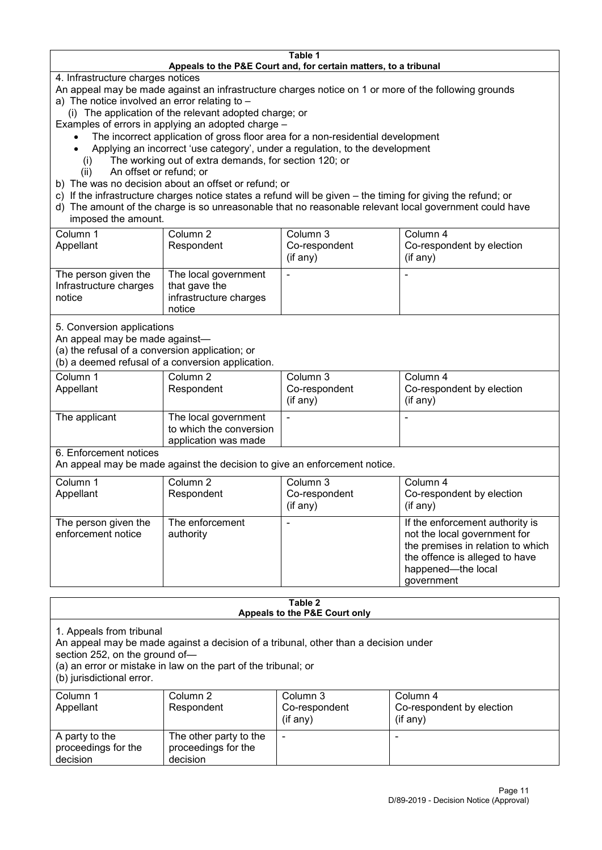#### **Table 1 Appeals to the P&E Court and, for certain matters, to a tribunal**

4. Infrastructure charges notices

- An appeal may be made against an infrastructure charges notice on 1 or more of the following grounds
- a) The notice involved an error relating to
	- (i) The application of the relevant adopted charge; or
- Examples of errors in applying an adopted charge
	- The incorrect application of gross floor area for a non-residential development
	- Applying an incorrect 'use category', under a regulation, to the development
	- (i) The working out of extra demands, for section 120; or
	- (ii) An offset or refund; or
- b) The was no decision about an offset or refund; or
- c) If the infrastructure charges notice states a refund will be given the timing for giving the refund; or
- d) The amount of the charge is so unreasonable that no reasonable relevant local government could have

## imposed the amount.

| Column 1               | Column 2               | Column 3      | Column 4                  |
|------------------------|------------------------|---------------|---------------------------|
| Appellant              | Respondent             | Co-respondent | Co-respondent by election |
|                        |                        | (if any)      | $($ if any $)$            |
| The person given the   | The local government   |               |                           |
| Infrastructure charges | that gave the          |               |                           |
| notice                 | infrastructure charges |               |                           |
|                        | notice                 |               |                           |

5. Conversion applications

An appeal may be made against—

(a) the refusal of a conversion application; or

(b) a deemed refusal of a conversion application.

| Column 1<br>Appellant | Column 2<br>Respondent                                                  | Column 3<br>Co-respondent<br>$($ if any $)$ | Column 4<br>Co-respondent by election<br>$($ if any $)$ |
|-----------------------|-------------------------------------------------------------------------|---------------------------------------------|---------------------------------------------------------|
| The applicant         | The local government<br>to which the conversion<br>application was made |                                             |                                                         |

6. Enforcement notices

An appeal may be made against the decision to give an enforcement notice.

| Column 1                                   | Column 2                     | Column 3      | Column 4                                                                                                                                                                   |
|--------------------------------------------|------------------------------|---------------|----------------------------------------------------------------------------------------------------------------------------------------------------------------------------|
| Appellant                                  | Respondent                   | Co-respondent | Co-respondent by election                                                                                                                                                  |
|                                            |                              | (if any)      | $($ if any $)$                                                                                                                                                             |
| The person given the<br>enforcement notice | The enforcement<br>authority |               | If the enforcement authority is<br>not the local government for<br>the premises in relation to which<br>the offence is alleged to have<br>happened-the local<br>government |

#### **Table 2 Appeals to the P&E Court only**

1. Appeals from tribunal

An appeal may be made against a decision of a tribunal, other than a decision under

section 252, on the ground of—

(a) an error or mistake in law on the part of the tribunal; or

(b) jurisdictional error.

| Column 1<br>Appellant                             | Column 2<br>Respondent                                    | Column 3<br>Co-respondent<br>$($ if any $)$ | Column 4<br>Co-respondent by election<br>$($ if any $)$ |
|---------------------------------------------------|-----------------------------------------------------------|---------------------------------------------|---------------------------------------------------------|
| A party to the<br>proceedings for the<br>decision | The other party to the<br>proceedings for the<br>decision | ٠                                           |                                                         |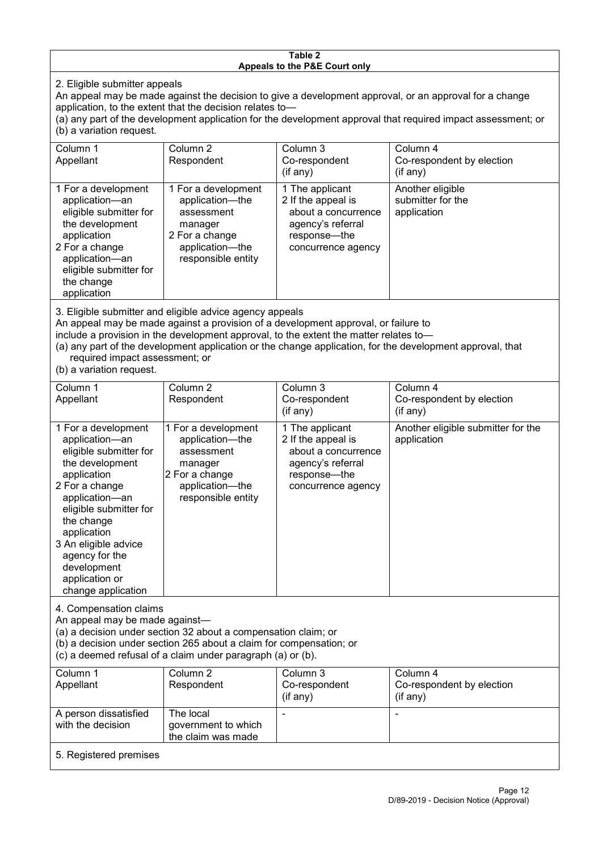#### **Table 2 Appeals to the P&E Court only**

2. Eligible submitter appeals

An appeal may be made against the decision to give a development approval, or an approval for a change application, to the extent that the decision relates to—

(a) any part of the development application for the development approval that required impact assessment; or (b) a variation request.

| Column 1<br>Appellant                                                                                                                                                                        | Column 2<br>Respondent                                                                                                     | Column 3<br>Co-respondent<br>(if any)                                                                                   | Column 4<br>Co-respondent by election<br>(if any)    |  |
|----------------------------------------------------------------------------------------------------------------------------------------------------------------------------------------------|----------------------------------------------------------------------------------------------------------------------------|-------------------------------------------------------------------------------------------------------------------------|------------------------------------------------------|--|
| 1 For a development<br>application-an<br>eligible submitter for<br>the development<br>application<br>2 For a change<br>application-an<br>eligible submitter for<br>the change<br>application | 1 For a development<br>application-the<br>assessment<br>manager<br>2 For a change<br>application-the<br>responsible entity | 1 The applicant<br>2 If the appeal is<br>about a concurrence<br>agency's referral<br>response-the<br>concurrence agency | Another eligible<br>submitter for the<br>application |  |
|                                                                                                                                                                                              |                                                                                                                            |                                                                                                                         |                                                      |  |

3. Eligible submitter and eligible advice agency appeals

An appeal may be made against a provision of a development approval, or failure to

include a provision in the development approval, to the extent the matter relates to—

(a) any part of the development application or the change application, for the development approval, that required impact assessment; or

(b) a variation request.

| Column 1<br>Appellant                                                                                                                                                                                                                                                                         | Column <sub>2</sub><br>Respondent                                                                                          | Column 3<br>Co-respondent                                                                                               | Column 4<br>Co-respondent by election             |
|-----------------------------------------------------------------------------------------------------------------------------------------------------------------------------------------------------------------------------------------------------------------------------------------------|----------------------------------------------------------------------------------------------------------------------------|-------------------------------------------------------------------------------------------------------------------------|---------------------------------------------------|
|                                                                                                                                                                                                                                                                                               |                                                                                                                            | (if any)                                                                                                                | (if any)                                          |
| 1 For a development<br>application-an<br>eligible submitter for<br>the development<br>application<br>2 For a change<br>application-an<br>eligible submitter for<br>the change<br>application<br>3 An eligible advice<br>agency for the<br>development<br>application or<br>change application | 1 For a development<br>application-the<br>assessment<br>manager<br>2 For a change<br>application-the<br>responsible entity | 1 The applicant<br>2 If the appeal is<br>about a concurrence<br>agency's referral<br>response—the<br>concurrence agency | Another eligible submitter for the<br>application |
| 4. Compensation claims<br>An appeal may be made against-<br>(a) a decision under section 32 about a compensation claim; or<br>(b) a decision under section 265 about a claim for compensation; or<br>(c) a deemed refusal of a claim under paragraph (a) or (b).                              |                                                                                                                            |                                                                                                                         |                                                   |
| Column 1<br>Appellant                                                                                                                                                                                                                                                                         | Column 2<br>Respondent                                                                                                     | Column 3<br>Co-respondent<br>(if any)                                                                                   | Column 4<br>Co-respondent by election<br>(if any) |
| A person dissatisfied<br>with the decision                                                                                                                                                                                                                                                    | The local<br>government to which<br>the claim was made                                                                     |                                                                                                                         |                                                   |
| 5. Registered premises                                                                                                                                                                                                                                                                        |                                                                                                                            |                                                                                                                         |                                                   |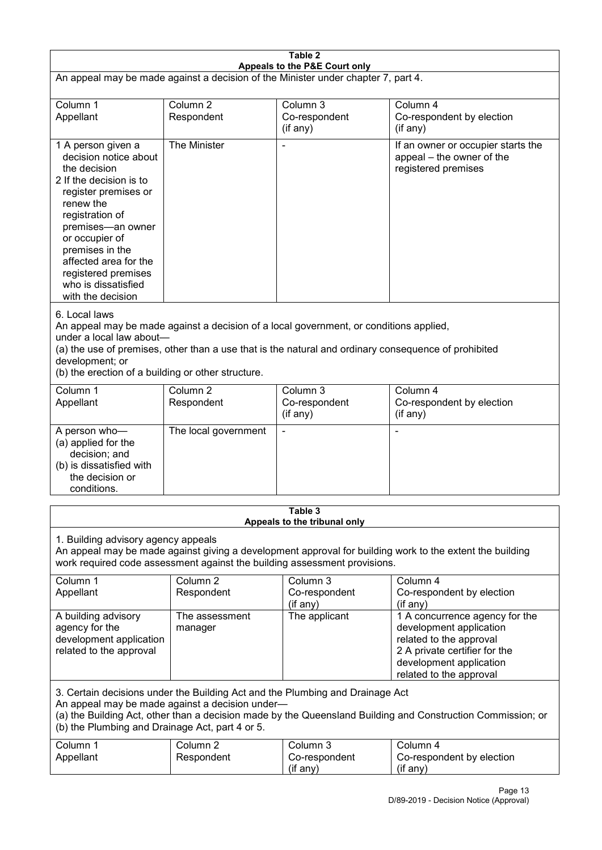| Table 2                                                                                                                                                                                                                                                                                              |                                   |                                                                                                                                                                                                |                                                                                                                                                                             |  |
|------------------------------------------------------------------------------------------------------------------------------------------------------------------------------------------------------------------------------------------------------------------------------------------------------|-----------------------------------|------------------------------------------------------------------------------------------------------------------------------------------------------------------------------------------------|-----------------------------------------------------------------------------------------------------------------------------------------------------------------------------|--|
| Appeals to the P&E Court only<br>An appeal may be made against a decision of the Minister under chapter 7, part 4.                                                                                                                                                                                   |                                   |                                                                                                                                                                                                |                                                                                                                                                                             |  |
| Column 1<br>Appellant                                                                                                                                                                                                                                                                                | Column <sub>2</sub><br>Respondent | Column 3<br>Co-respondent<br>(if any)                                                                                                                                                          | Column 4<br>Co-respondent by election<br>(if any)                                                                                                                           |  |
| 1 A person given a<br>decision notice about<br>the decision<br>2 If the decision is to<br>register premises or<br>renew the<br>registration of<br>premises-an owner<br>or occupier of<br>premises in the<br>affected area for the<br>registered premises<br>who is dissatisfied<br>with the decision | The Minister                      |                                                                                                                                                                                                | If an owner or occupier starts the<br>appeal - the owner of the<br>registered premises                                                                                      |  |
| 6. Local laws<br>under a local law about-<br>development; or<br>(b) the erection of a building or other structure.                                                                                                                                                                                   |                                   | An appeal may be made against a decision of a local government, or conditions applied,<br>(a) the use of premises, other than a use that is the natural and ordinary consequence of prohibited |                                                                                                                                                                             |  |
| Column 1<br>Appellant                                                                                                                                                                                                                                                                                | Column <sub>2</sub><br>Respondent | Column 3<br>Co-respondent<br>(if any)                                                                                                                                                          | Column 4<br>Co-respondent by election<br>(if any)                                                                                                                           |  |
| A person who-<br>(a) applied for the<br>decision; and<br>(b) is dissatisfied with<br>the decision or<br>conditions.                                                                                                                                                                                  | The local government              |                                                                                                                                                                                                | ٠                                                                                                                                                                           |  |
|                                                                                                                                                                                                                                                                                                      |                                   | Table 3<br>Appeals to the tribunal only                                                                                                                                                        |                                                                                                                                                                             |  |
| 1. Building advisory agency appeals<br>An appeal may be made against giving a development approval for building work to the extent the building<br>work required code assessment against the building assessment provisions.                                                                         |                                   |                                                                                                                                                                                                |                                                                                                                                                                             |  |
| Column 1<br>Appellant                                                                                                                                                                                                                                                                                | Column <sub>2</sub><br>Respondent | Column 3<br>Co-respondent<br>(if any)                                                                                                                                                          | Column 4<br>Co-respondent by election<br>(if any)                                                                                                                           |  |
| A building advisory<br>agency for the<br>development application<br>related to the approval                                                                                                                                                                                                          | The assessment<br>manager         | The applicant                                                                                                                                                                                  | 1 A concurrence agency for the<br>development application<br>related to the approval<br>2 A private certifier for the<br>development application<br>related to the approval |  |
| 3. Certain decisions under the Building Act and the Plumbing and Drainage Act<br>An appeal may be made against a decision under-<br>(a) the Building Act, other than a decision made by the Queensland Building and Construction Commission; or<br>(b) the Plumbing and Drainage Act, part 4 or 5.   |                                   |                                                                                                                                                                                                |                                                                                                                                                                             |  |
| Column 1<br>Appellant                                                                                                                                                                                                                                                                                | Column <sub>2</sub><br>Respondent | Column 3<br>Co-respondent<br>(if any)                                                                                                                                                          | Column 4<br>Co-respondent by election<br>(if any)                                                                                                                           |  |